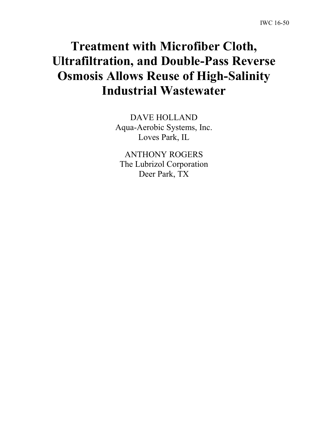# **Treatment with Microfiber Cloth, Ultrafiltration, and Double-Pass Reverse Osmosis Allows Reuse of High-Salinity Industrial Wastewater**

DAVE HOLLAND Aqua-Aerobic Systems, Inc. Loves Park, IL

ANTHONY ROGERS The Lubrizol Corporation Deer Park, TX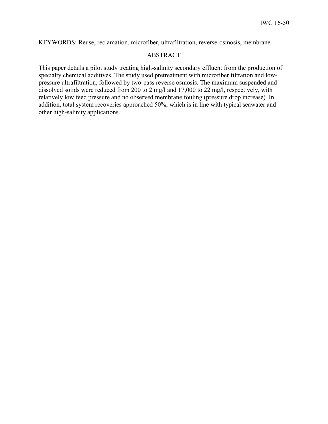KEYWORDS: Reuse, reclamation, microfiber, ultrafiltration, reverse-osmosis, membrane

## ABSTRACT

This paper details a pilot study treating high-salinity secondary effluent from the production of specialty chemical additives. The study used pretreatment with microfiber filtration and lowpressure ultrafiltration, followed by two-pass reverse osmosis. The maximum suspended and dissolved solids were reduced from 200 to 2 mg/l and 17,000 to 22 mg/l, respectively, with relatively low feed pressure and no observed membrane fouling (pressure drop increase). In addition, total system recoveries approached 50%, which is in line with typical seawater and other high-salinity applications.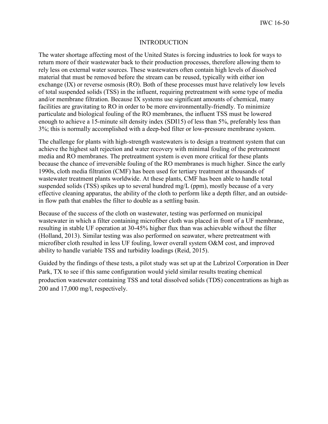#### INTRODUCTION

The water shortage affecting most of the United States is forcing industries to look for ways to return more of their wastewater back to their production processes, therefore allowing them to rely less on external water sources. These wastewaters often contain high levels of dissolved material that must be removed before the stream can be reused, typically with either ion exchange (IX) or reverse osmosis (RO). Both of these processes must have relatively low levels of total suspended solids (TSS) in the influent, requiring pretreatment with some type of media and/or membrane filtration. Because IX systems use significant amounts of chemical, many facilities are gravitating to RO in order to be more environmentally-friendly. To minimize particulate and biological fouling of the RO membranes, the influent TSS must be lowered enough to achieve a 15-minute silt density index (SDI15) of less than 5%, preferably less than 3%; this is normally accomplished with a deep-bed filter or low-pressure membrane system.

The challenge for plants with high-strength wastewaters is to design a treatment system that can achieve the highest salt rejection and water recovery with minimal fouling of the pretreatment media and RO membranes. The pretreatment system is even more critical for these plants because the chance of irreversible fouling of the RO membranes is much higher. Since the early 1990s, cloth media filtration (CMF) has been used for tertiary treatment at thousands of wastewater treatment plants worldwide. At these plants, CMF has been able to handle total suspended solids (TSS) spikes up to several hundred mg/L (ppm), mostly because of a very effective cleaning apparatus, the ability of the cloth to perform like a depth filter, and an outsidein flow path that enables the filter to double as a settling basin.

Because of the success of the cloth on wastewater, testing was performed on municipal wastewater in which a filter containing microfiber cloth was placed in front of a UF membrane, resulting in stable UF operation at 30-45% higher flux than was achievable without the filter (Holland, 2013). Similar testing was also performed on seawater, where pretreatment with microfiber cloth resulted in less UF fouling, lower overall system O&M cost, and improved ability to handle variable TSS and turbidity loadings (Reid, 2015).

Guided by the findings of these tests, a pilot study was set up at the Lubrizol Corporation in Deer Park, TX to see if this same configuration would yield similar results treating chemical production wastewater containing TSS and total dissolved solids (TDS) concentrations as high as 200 and 17,000 mg/l, respectively.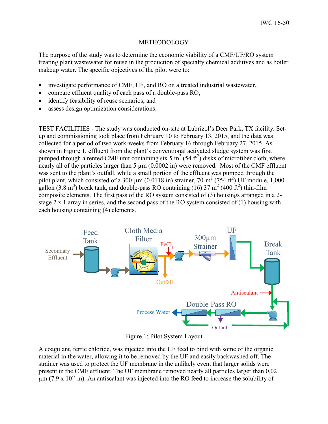### METHODOLOGY

The purpose of the study was to determine the economic viability of a CMF/UF/RO system treating plant wastewater for reuse in the production of specialty chemical additives and as boiler makeup water. The specific objectives of the pilot were to:

- investigate performance of CMF, UF, and RO on a treated industrial wastewater,
- compare effluent quality of each pass of a double-pass RO,
- identify feasibility of reuse scenarios, and
- assess design optimization considerations.

TEST FACILITIES - The study was conducted on-site at Lubrizol's Deer Park, TX facility. Setup and commissioning took place from February 10 to February 13, 2015, and the data was collected for a period of two work-weeks from February 16 through February 27, 2015. As shown in Figure 1, effluent from the plant's conventional activated sludge system was first pumped through a rented CMF unit containing six 5  $m^2$  (54 ft<sup>2</sup>) disks of microfiber cloth, where nearly all of the particles larger than 5  $\mu$ m (0.0002 in) were removed. Most of the CMF effluent was sent to the plant's outfall, while a small portion of the effluent was pumped through the pilot plant, which consisted of a 300-µm (0.0118 in) strainer, 70-m<sup>2</sup> (754 ft<sup>2</sup>) UF module, 1,000gallon (3.8 m<sup>3</sup>) break tank, and double-pass RO containing (16) 37 m<sup>2</sup> (400 ft<sup>2</sup>) thin-film composite elements. The first pass of the RO system consisted of (3) housings arranged in a 2 stage 2 x 1 array in series, and the second pass of the RO system consisted of (1) housing with each housing containing (4) elements.



Figure 1: Pilot System Layout

A coagulant, ferric chloride, was injected into the UF feed to bind with some of the organic material in the water, allowing it to be removed by the UF and easily backwashed off. The strainer was used to protect the UF membrane in the unlikely event that larger solids were present in the CMF effluent. The UF membrane removed nearly all particles larger than 0.02  $\mu$ m (7.9 x 10<sup>-7</sup> in). An antiscalant was injected into the RO feed to increase the solubility of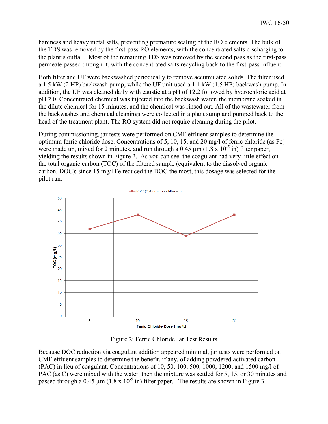hardness and heavy metal salts, preventing premature scaling of the RO elements. The bulk of the TDS was removed by the first-pass RO elements, with the concentrated salts discharging to the plant's outfall. Most of the remaining TDS was removed by the second pass as the first-pass permeate passed through it, with the concentrated salts recycling back to the first-pass influent.

Both filter and UF were backwashed periodically to remove accumulated solids. The filter used a 1.5 kW (2 HP) backwash pump, while the UF unit used a 1.1 kW (1.5 HP) backwash pump. In addition, the UF was cleaned daily with caustic at a pH of 12.2 followed by hydrochloric acid at pH 2.0. Concentrated chemical was injected into the backwash water, the membrane soaked in the dilute chemical for 15 minutes, and the chemical was rinsed out. All of the wastewater from the backwashes and chemical cleanings were collected in a plant sump and pumped back to the head of the treatment plant. The RO system did not require cleaning during the pilot.

During commissioning, jar tests were performed on CMF effluent samples to determine the optimum ferric chloride dose. Concentrations of 5, 10, 15, and 20 mg/l of ferric chloride (as Fe) were made up, mixed for 2 minutes, and run through a 0.45  $\mu$ m (1.8 x 10<sup>-5</sup> in) filter paper, yielding the results shown in Figure 2. As you can see, the coagulant had very little effect on the total organic carbon (TOC) of the filtered sample (equivalent to the dissolved organic carbon, DOC); since 15 mg/l Fe reduced the DOC the most, this dosage was selected for the pilot run.



Figure 2: Ferric Chloride Jar Test Results

Because DOC reduction via coagulant addition appeared minimal, jar tests were performed on CMF effluent samples to determine the benefit, if any, of adding powdered activated carbon (PAC) in lieu of coagulant. Concentrations of 10, 50, 100, 500, 1000, 1200, and 1500 mg/l of PAC (as C) were mixed with the water, then the mixture was settled for 5, 15, or 30 minutes and passed through a 0.45  $\mu$ m (1.8 x 10<sup>-5</sup> in) filter paper. The results are shown in Figure 3.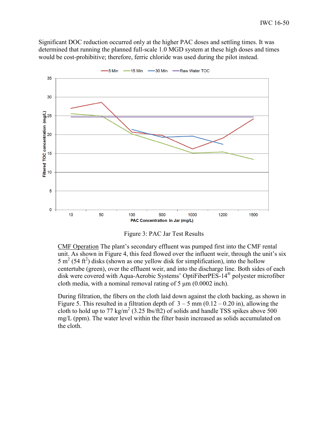Significant DOC reduction occurred only at the higher PAC doses and settling times. It was determined that running the planned full-scale 1.0 MGD system at these high doses and times would be cost-prohibitive; therefore, ferric chloride was used during the pilot instead.



-5 Min -15 Min -30 Min -Raw Water TOC



CMF Operation The plant's secondary effluent was pumped first into the CMF rental unit. As shown in Figure 4, this feed flowed over the influent weir, through the unit's six 5 m<sup>2</sup> (54 ft<sup>2</sup>) disks (shown as one yellow disk for simplification), into the hollow centertube (green), over the effluent weir, and into the discharge line. Both sides of each disk were covered with Aqua-Aerobic Systems' OptiFiberPES-14® polyester microfiber cloth media, with a nominal removal rating of  $5 \mu m (0.0002 \text{ inch})$ .

During filtration, the fibers on the cloth laid down against the cloth backing, as shown in Figure 5. This resulted in a filtration depth of  $3 - 5$  mm  $(0.12 - 0.20)$  in), allowing the cloth to hold up to 77 kg/m<sup>2</sup> (3.25 lbs/ft2) of solids and handle TSS spikes above 500 mg/L (ppm). The water level within the filter basin increased as solids accumulated on the cloth.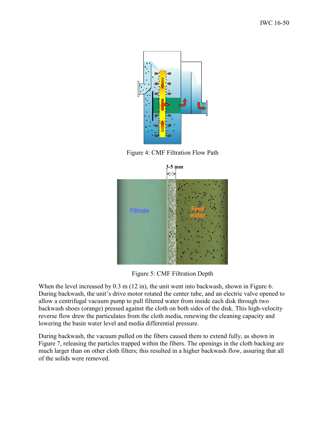

Figure 4: CMF Filtration Flow Path



Figure 5: CMF Filtration Depth

When the level increased by 0.3 m (12 in), the unit went into backwash, shown in Figure 6. During backwash, the unit's drive motor rotated the center tube, and an electric valve opened to allow a centrifugal vacuum pump to pull filtered water from inside each disk through two backwash shoes (orange) pressed against the cloth on both sides of the disk. This high-velocity reverse flow drew the particulates from the cloth media, renewing the cleaning capacity and lowering the basin water level and media differential pressure.

During backwash, the vacuum pulled on the fibers caused them to extend fully, as shown in Figure 7, releasing the particles trapped within the fibers. The openings in the cloth backing are much larger than on other cloth filters; this resulted in a higher backwash flow, assuring that all of the solids were removed.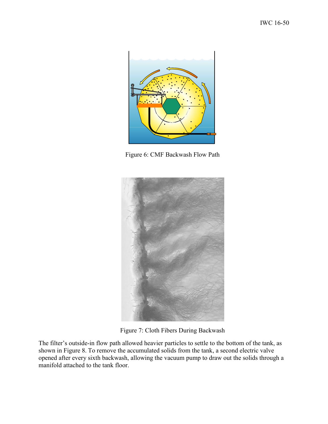

Figure 6: CMF Backwash Flow Path



Figure 7: Cloth Fibers During Backwash

The filter's outside-in flow path allowed heavier particles to settle to the bottom of the tank, as shown in Figure 8. To remove the accumulated solids from the tank, a second electric valve opened after every sixth backwash, allowing the vacuum pump to draw out the solids through a manifold attached to the tank floor.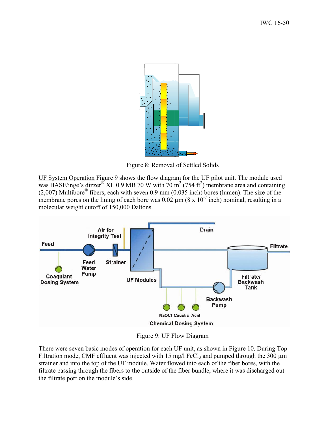

Figure 8: Removal of Settled Solids

UF System Operation Figure 9 shows the flow diagram for the UF pilot unit. The module used was BASF/inge's dizzer<sup>®</sup> XL 0.9 MB 70 W with 70 m<sup>2</sup> (754 ft<sup>2</sup>) membrane area and containing  $(2,007)$  Multibore<sup>®</sup> fibers, each with seven 0.9 mm  $(0.035$  inch) bores (lumen). The size of the membrane pores on the lining of each bore was  $0.02 \mu m (8 \times 10^{-7})$  inch) nominal, resulting in a molecular weight cutoff of 150,000 Daltons.



Figure 9: UF Flow Diagram

There were seven basic modes of operation for each UF unit, as shown in Figure 10. During Top Filtration mode, CMF effluent was injected with 15 mg/l FeCl<sub>3</sub> and pumped through the 300  $\mu$ m strainer and into the top of the UF module. Water flowed into each of the fiber bores, with the filtrate passing through the fibers to the outside of the fiber bundle, where it was discharged out the filtrate port on the module's side.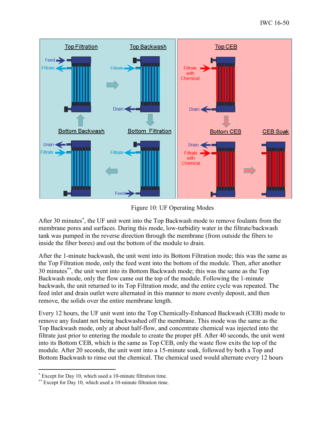

Figure 10: UF Operating Modes

After 30 minutes<sup>\*</sup>, the UF unit went into the Top Backwash mode to remove foulants from the membrane pores and surfaces. During this mode, low-turbidity water in the filtrate/backwash tank was pumped in the reverse direction through the membrane (from outside the fibers to inside the fiber bores) and out the bottom of the module to drain.

After the 1-minute backwash, the unit went into its Bottom Filtration mode; this was the same as the Top Filtration mode, only the feed went into the bottom of the module. Then, after another 30 minutes\*\*, the unit went into its Bottom Backwash mode; this was the same as the Top Backwash mode, only the flow came out the top of the module. Following the 1-minute backwash, the unit returned to its Top Filtration mode, and the entire cycle was repeated. The feed inlet and drain outlet were alternated in this manner to more evenly deposit, and then remove, the solids over the entire membrane length.

Every 12 hours, the UF unit went into the Top Chemically-Enhanced Backwash (CEB) mode to remove any foulant not being backwashed off the membrane. This mode was the same as the Top Backwash mode, only at about half-flow, and concentrate chemical was injected into the filtrate just prior to entering the module to create the proper pH. After 40 seconds, the unit went into its Bottom CEB, which is the same as Top CEB, only the waste flow exits the top of the module. After 20 seconds, the unit went into a 15-minute soak, followed by both a Top and Bottom Backwash to rinse out the chemical. The chemical used would alternate every 12 hours

 $\overline{a}$ 

 Except for Day 10, which used a 10-minute filtration time.

 Except for Day 10, which used a 10-minute filtration time.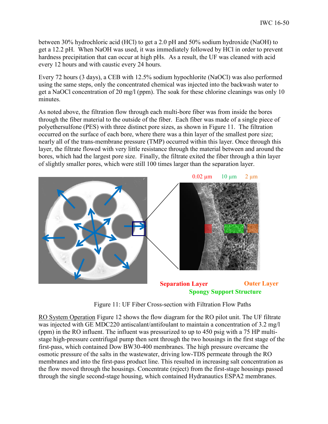between 30% hydrochloric acid (HCl) to get a 2.0 pH and 50% sodium hydroxide (NaOH) to get a 12.2 pH. When NaOH was used, it was immediately followed by HCl in order to prevent hardness precipitation that can occur at high pHs. As a result, the UF was cleaned with acid every 12 hours and with caustic every 24 hours.

Every 72 hours (3 days), a CEB with 12.5% sodium hypochlorite (NaOCl) was also performed using the same steps, only the concentrated chemical was injected into the backwash water to get a NaOCl concentration of 20 mg/l (ppm). The soak for these chlorine cleanings was only 10 minutes.

As noted above, the filtration flow through each multi-bore fiber was from inside the bores through the fiber material to the outside of the fiber. Each fiber was made of a single piece of polyethersulfone (PES) with three distinct pore sizes, as shown in Figure 11. The filtration occurred on the surface of each bore, where there was a thin layer of the smallest pore size; nearly all of the trans-membrane pressure (TMP) occurred within this layer. Once through this layer, the filtrate flowed with very little resistance through the material between and around the bores, which had the largest pore size. Finally, the filtrate exited the fiber through a thin layer of slightly smaller pores, which were still 100 times larger than the separation layer.



**Spongy Support Structure**

Figure 11: UF Fiber Cross-section with Filtration Flow Paths

RO System Operation Figure 12 shows the flow diagram for the RO pilot unit. The UF filtrate was injected with GE MDC220 antiscalant/antifoulant to maintain a concentration of 3.2 mg/l (ppm) in the RO influent. The influent was pressurized to up to 450 psig with a 75 HP multistage high-pressure centrifugal pump then sent through the two housings in the first stage of the first-pass, which contained Dow BW30-400 membranes. The high pressure overcame the osmotic pressure of the salts in the wastewater, driving low-TDS permeate through the RO membranes and into the first-pass product line. This resulted in increasing salt concentration as the flow moved through the housings. Concentrate (reject) from the first-stage housings passed through the single second-stage housing, which contained Hydranautics ESPA2 membranes.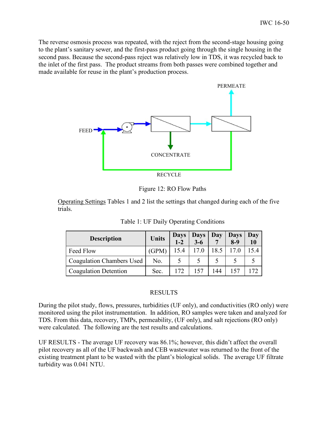The reverse osmosis process was repeated, with the reject from the second-stage housing going to the plant's sanitary sewer, and the first-pass product going through the single housing in the second pass. Because the second-pass reject was relatively low in TDS, it was recycled back to the inlet of the first pass. The product streams from both passes were combined together and made available for reuse in the plant's production process.



Figure 12: RO Flow Paths

Operating Settings Tables 1 and 2 list the settings that changed during each of the five trials.

| Table 1: UF Daily Operating Conditions |  |
|----------------------------------------|--|
|                                        |  |

| <b>Description</b>           | <b>Units</b> | <b>Days</b><br>$1-2$ | Days<br>$3 - 6$ | Day  | <b>Days</b><br>$8-9$ | Day<br>10 |
|------------------------------|--------------|----------------------|-----------------|------|----------------------|-----------|
| Feed Flow                    | (GPM)        | 15.4                 | 17.0            | 18.5 | 17.0                 | 5.4       |
| Coagulation Chambers Used    | No.          |                      |                 |      |                      |           |
| <b>Coagulation Detention</b> | Sec.         | 172                  |                 | 144  |                      | 72،       |

## RESULTS

During the pilot study, flows, pressures, turbidities (UF only), and conductivities (RO only) were monitored using the pilot instrumentation. In addition, RO samples were taken and analyzed for TDS. From this data, recovery, TMPs, permeability, (UF only), and salt rejections (RO only) were calculated. The following are the test results and calculations.

UF RESULTS - The average UF recovery was 86.1%; however, this didn't affect the overall pilot recovery as all of the UF backwash and CEB wastewater was returned to the front of the existing treatment plant to be wasted with the plant's biological solids. The average UF filtrate turbidity was 0.041 NTU.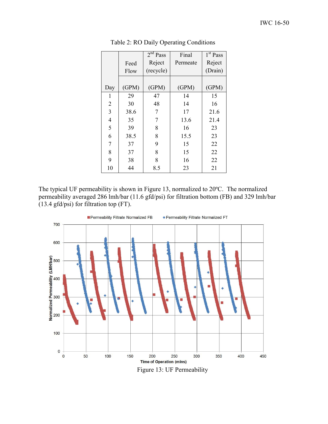|                          |       | 2 <sup>nd</sup> Pass | Final    | 1 <sup>st</sup> Pass |
|--------------------------|-------|----------------------|----------|----------------------|
|                          | Feed  | Reject               | Permeate | Reject               |
|                          | Flow  | (recycle)            |          | (Drain)              |
|                          |       |                      |          |                      |
| Day                      | (GPM) | (GPM)                | (GPM)    | (GPM)                |
| 1                        | 29    | 47                   | 14       | 15                   |
| $\overline{2}$           | 30    | 48                   | 14       | 16                   |
| $\overline{3}$           | 38.6  | 7                    | 17       | 21.6                 |
| $\overline{\mathcal{L}}$ | 35    | 7                    | 13.6     | 21.4                 |
| 5                        | 39    | 8                    | 16       | 23                   |
| 6                        | 38.5  | 8                    | 15.5     | 23                   |
| 7                        | 37    | 9                    | 15       | 22                   |
| 8                        | 37    | 8                    | 15       | 22                   |
| 9                        | 38    | 8                    | 16       | 22                   |
| 10                       | 44    | 8.5                  | 23       | 21                   |

Table 2: RO Daily Operating Conditions

The typical UF permeability is shown in Figure 13, normalized to 20ºC. The normalized permeability averaged 286 lmh/bar (11.6 gfd/psi) for filtration bottom (FB) and 329 lmh/bar (13.4 gfd/psi) for filtration top (FT).



Figure 13: UF Permeability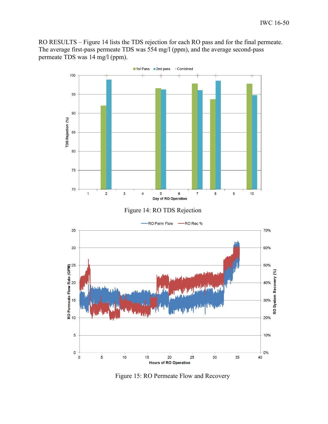RO RESULTS – Figure 14 lists the TDS rejection for each RO pass and for the final permeate. The average first-pass permeate TDS was 554 mg/l (ppm), and the average second-pass permeate TDS was 14 mg/l (ppm).



Figure 15: RO Permeate Flow and Recovery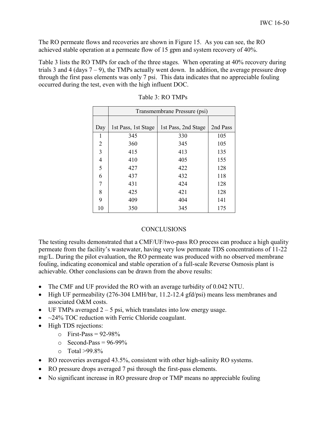The RO permeate flows and recoveries are shown in Figure 15. As you can see, the RO achieved stable operation at a permeate flow of 15 gpm and system recovery of 40%.

Table 3 lists the RO TMPs for each of the three stages. When operating at 40% recovery during trials 3 and 4 (days  $7 - 9$ ), the TMPs actually went down. In addition, the average pressure drop through the first pass elements was only 7 psi. This data indicates that no appreciable fouling occurred during the test, even with the high influent DOC.

|                | Transmembrane Pressure (psi) |                     |          |  |
|----------------|------------------------------|---------------------|----------|--|
|                |                              |                     |          |  |
| Day            | 1st Pass, 1st Stage          | 1st Pass, 2nd Stage | 2nd Pass |  |
| 1              | 345                          | 330                 | 105      |  |
| $\overline{2}$ | 360                          | 345                 | 105      |  |
| $\overline{3}$ | 415                          | 413                 | 135      |  |
| $\overline{4}$ | 410                          | 405                 | 155      |  |
| 5              | 427                          | 422                 | 128      |  |
| 6              | 437                          | 432                 | 118      |  |
| 7              | 431                          | 424                 | 128      |  |
| 8              | 425                          | 421                 | 128      |  |
| 9              | 409                          | 404                 | 141      |  |
| 10             | 350                          | 345                 | 175      |  |

| Table 3: RO TMPs |  |  |
|------------------|--|--|
|------------------|--|--|

### **CONCLUSIONS**

The testing results demonstrated that a CMF/UF/two-pass RO process can produce a high quality permeate from the facility's wastewater, having very low permeate TDS concentrations of 11-22 mg/L. During the pilot evaluation, the RO permeate was produced with no observed membrane fouling, indicating economical and stable operation of a full-scale Reverse Osmosis plant is achievable. Other conclusions can be drawn from the above results:

- The CMF and UF provided the RO with an average turbidity of 0.042 NTU.
- High UF permeability (276-304 LMH/bar, 11.2-12.4 gfd/psi) means less membranes and associated O&M costs.
- $\bullet$  UF TMPs averaged 2 5 psi, which translates into low energy usage.
- $\sim$  24% TOC reduction with Ferric Chloride coagulant.
- High TDS rejections:
	- $\circ$  First-Pass = 92-98%
	- $\circ$  Second-Pass = 96-99%
	- $\circ$  Total >99.8%
- RO recoveries averaged 43.5%, consistent with other high-salinity RO systems.
- RO pressure drops averaged 7 psi through the first-pass elements.
- No significant increase in RO pressure drop or TMP means no appreciable fouling